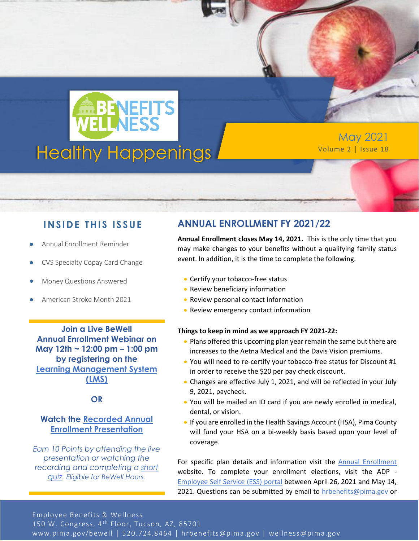

May 2021

### **INSIDE THIS ISSUE**

- Annual Enrollment Reminder
- CVS Specialty Copay Card Change
- Money Questions Answered
- American Stroke Month 2021

**Join a Live BeWell Annual Enrollment Webinar on May 12th ~ 12:00 pm – 1:00 pm by registering on the [Learning Management System](https://pimalms.central.pima.gov/Default.aspx)  [\(LMS\)](https://pimalms.central.pima.gov/Default.aspx)**

#### **OR**

#### **Watch the [Recorded Annual](https://webcms.pima.gov/UserFiles/Servers/Server_6/Media/Government/Human%20Resources/Employee%20Benefits/Annual%20Enrollment/AE-Presentation-2021-Recorded.mp4)  [Enrollment Presentation](https://webcms.pima.gov/UserFiles/Servers/Server_6/Media/Government/Human%20Resources/Employee%20Benefits/Annual%20Enrollment/AE-Presentation-2021-Recorded.mp4)**

*Earn 10 Points by attending the live presentation or watching the recording and completing a [short](https://www.surveymonkey.com/r/2021-22_AnnualEnrollment_Quiz)  [quiz.](https://www.surveymonkey.com/r/2021-22_AnnualEnrollment_Quiz) Eligible for BeWell Hours.*

## **ANNUAL ENROLLMENT FY 2021/22**

**Annual Enrollment closes May 14, 2021.** This is the only time that you may make changes to your benefits without a qualifying family status event. In addition, it is the time to complete the following.

- Certify your tobacco-free status
- Review beneficiary information
- Review personal contact information
- Review emergency contact information

#### **Things to keep in mind as we approach FY 2021-22:**

- Plans offered this upcoming plan year remain the same but there are increases to the Aetna Medical and the Davis Vision premiums.
- You will need to re-certify your tobacco-free status for Discount #1 in order to receive the \$20 per pay check discount.
- Changes are effective July 1, 2021, and will be reflected in your July 9, 2021, paycheck.
- You will be mailed an ID card if you are newly enrolled in medical, dental, or vision.
- If you are enrolled in the Health Savings Account (HSA), Pima County will fund your HSA on a bi-weekly basis based upon your level of coverage.

For specific plan details and information visit the **Annual Enrollment** website. To complete your enrollment elections, visit the ADP - [Employee Self Service \(ESS\) portal](https://online.adp.com/signin/v1/?APPID=HomepagePortal&productId=80e309c3-7078-bae1-e053-3505430b5495&returnURL=https://portal.adp.com/public/index.htm&callingAppId=HomepagePortal) between April 26, 2021 and May 14, 2021. Questions can be submitted by email to [hrbenefits@pima.gov](mailto:hrbenefits@pima.gov) or

call Human Resources Employee Benefits at 520-724-8464.

Employee Benefits & Wellness

150 W. Congress, 4<sup>th</sup> Floor, Tucson, AZ, 85701

www.pima.gov/bewell │ 520.724.8464 │ hrbenefits@pima.gov │ wellness@pima.gov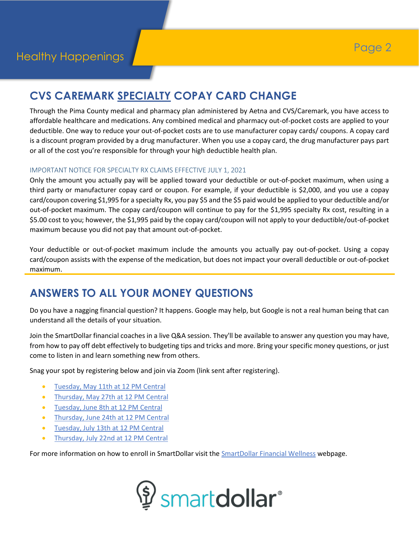# **CVS CAREMARK SPECIALTY COPAY CARD CHANGE**

Through the Pima County medical and pharmacy plan administered by Aetna and CVS/Caremark, you have access to affordable healthcare and medications. Any combined medical and pharmacy out-of-pocket costs are applied to your deductible. One way to reduce your out-of-pocket costs are to use manufacturer copay cards/ coupons. A copay card is a discount program provided by a drug manufacturer. When you use a copay card, the drug manufacturer pays part or all of the cost you're responsible for through your high deductible health plan.

#### IMPORTANT NOTICE FOR SPECIALTY RX CLAIMS EFFECTIVE JULY 1, 2021

Only the amount you actually pay will be applied toward your deductible or out-of-pocket maximum, when using a third party or manufacturer copay card or coupon. For example, if your deductible is \$2,000, and you use a copay card/coupon covering \$1,995 for a specialty Rx, you pay \$5 and the \$5 paid would be applied to your deductible and/or out-of-pocket maximum. The copay card/coupon will continue to pay for the \$1,995 specialty Rx cost, resulting in a \$5.00 cost to you; however, the \$1,995 paid by the copay card/coupon will not apply to your deductible/out-of-pocket maximum because you did not pay that amount out-of-pocket.

Your deductible or out-of-pocket maximum include the amounts you actually pay out-of-pocket. Using a copay card/coupon assists with the expense of the medication, but does not impact your overall deductible or out-of-pocket maximum.

## **ANSWERS TO ALL YOUR MONEY QUESTIONS**

Do you have a nagging financial question? It happens. Google may help, but Google is not a real human being that can understand all the details of your situation.

Join the SmartDollar financial coaches in a live Q&A session. They'll be available to answer any question you may have, from how to pay off debt effectively to budgeting tips and tricks and more. Bring your specific money questions, or just come to listen in and learn something new from others.

Snag your spot by registering below and join via Zoom (link sent after registering).

- [Tuesday, May 11th at 12 PM Central](https://ramseysolutions.zoom.us/webinar/register/WN_E3hY560gQhWII8zilMP7Mw)
- [Thursday, May 27th at 12 PM Central](https://ramseysolutions.zoom.us/webinar/register/WN_bCM4nLraQ4ql4UWXdXHjpg)
- [Tuesday, June 8th at 12 PM Central](https://ramseysolutions.zoom.us/webinar/register/WN_VcaVCZLOTZSsJGHP0gefHQ)
- [Thursday, June 24th at 12 PM Central](https://ramseysolutions.zoom.us/webinar/register/WN_s80XWqA6Q8uDP_tNGx7ypg)
- [Tuesday, July 13th at 12 PM Central](https://ramseysolutions.zoom.us/webinar/register/WN_J6U1vRTHQOuIbFz9QWUnMA)
- [Thursday, July 22nd at 12 PM Central](https://ramseysolutions.zoom.us/webinar/register/WN_rS90FLVSSRy9twSBrqGeGw)

For more information on how to enroll in SmartDollar visit the **SmartDollar Financial Wellness** webpage.